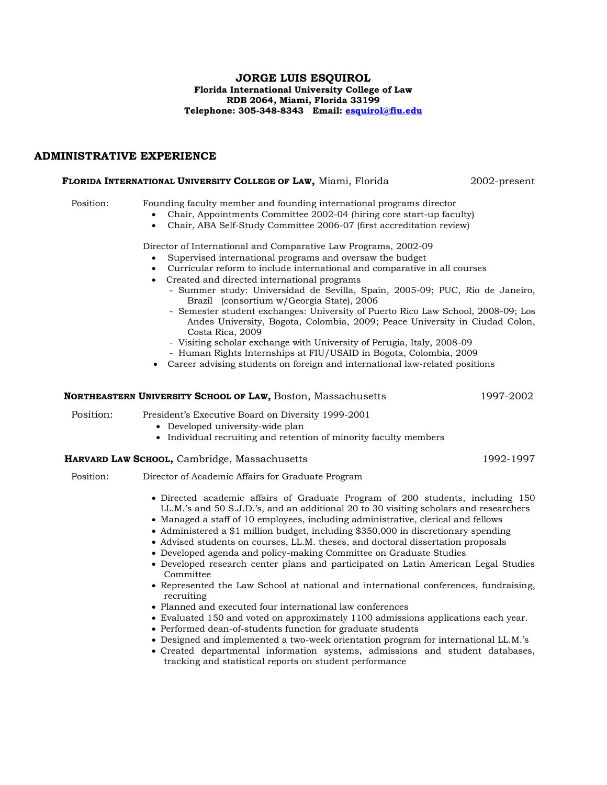#### **JORGE LUIS ESQUIROL Florida International University College of Law RDB 2064, Miami, Florida 33199 Telephone: 305-348-8343 Email: [esquirol@fiu.edu](mailto:esquirol@fiu.edu)**

# **ADMINISTRATIVE EXPERIENCE**

#### **FLORIDA INTERNATIONAL UNIVERSITY COLLEGE OF LAW,** Miami, Florida 2002-present

Position: Founding faculty member and founding international programs director

- Chair, Appointments Committee 2002-04 (hiring core start-up faculty)
- Chair, ABA Self-Study Committee 2006-07 (first accreditation review)

Director of International and Comparative Law Programs, 2002-09

- Supervised international programs and oversaw the budget
- Curricular reform to include international and comparative in all courses
- Created and directed international programs
	- Summer study: Universidad de Sevilla, Spain, 2005-09; PUC, Rio de Janeiro, Brazil (consortium w/Georgia State), 2006
	- Semester student exchanges: University of Puerto Rico Law School, 2008-09; Los Andes University, Bogota, Colombia, 2009; Peace University in Ciudad Colon, Costa Rica, 2009
	- Visiting scholar exchange with University of Perugia, Italy, 2008-09
	- Human Rights Internships at FIU/USAID in Bogota, Colombia, 2009
- Career advising students on foreign and international law-related positions

#### **NORTHEASTERN UNIVERSITY SCHOOL OF LAW,** Boston, Massachusetts 1997-2002

- Position: President's Executive Board on Diversity 1999-2001
	- Developed university-wide plan
	- Individual recruiting and retention of minority faculty members

# **HARVARD LAW SCHOOL,** Cambridge, Massachusetts 1992-1997

Position: Director of Academic Affairs for Graduate Program

- Directed academic affairs of Graduate Program of 200 students, including 150 LL.M.'s and 50 S.J.D.'s, and an additional 20 to 30 visiting scholars and researchers
- Managed a staff of 10 employees, including administrative, clerical and fellows
- Administered a \$1 million budget, including \$350,000 in discretionary spending
- Advised students on courses, LL.M. theses, and doctoral dissertation proposals
- Developed agenda and policy-making Committee on Graduate Studies
- Developed research center plans and participated on Latin American Legal Studies Committee
- Represented the Law School at national and international conferences, fundraising, recruiting
- Planned and executed four international law conferences
- Evaluated 150 and voted on approximately 1100 admissions applications each year.
- Performed dean-of-students function for graduate students
- Designed and implemented a two-week orientation program for international LL.M.'s
- Created departmental information systems, admissions and student databases, tracking and statistical reports on student performance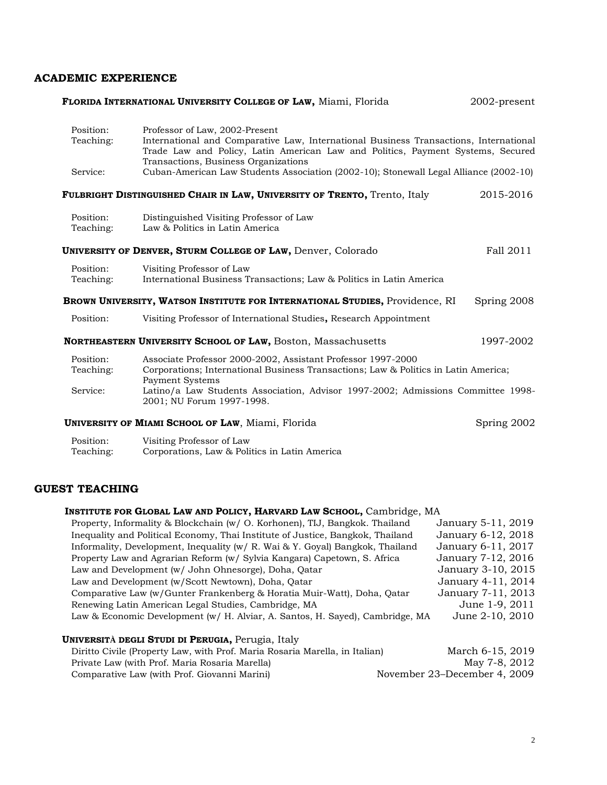# **ACADEMIC EXPERIENCE**

| FLORIDA INTERNATIONAL UNIVERSITY COLLEGE OF LAW, Miami, Florida<br>2002-present |                                                                                                                                                                                                            |             |
|---------------------------------------------------------------------------------|------------------------------------------------------------------------------------------------------------------------------------------------------------------------------------------------------------|-------------|
| Position:<br>Teaching:                                                          | Professor of Law, 2002-Present<br>International and Comparative Law, International Business Transactions, International<br>Trade Law and Policy, Latin American Law and Politics, Payment Systems, Secured |             |
| Service:                                                                        | Transactions, Business Organizations<br>Cuban-American Law Students Association (2002-10); Stonewall Legal Alliance (2002-10)                                                                              |             |
|                                                                                 | FULBRIGHT DISTINGUISHED CHAIR IN LAW, UNIVERSITY OF TRENTO, Trento, Italy                                                                                                                                  | 2015-2016   |
| Position:<br>Teaching:                                                          | Distinguished Visiting Professor of Law<br>Law & Politics in Latin America                                                                                                                                 |             |
|                                                                                 | <b>UNIVERSITY OF DENVER, STURM COLLEGE OF LAW, Denver, Colorado</b>                                                                                                                                        | Fall 2011   |
| Position:<br>Teaching:                                                          | Visiting Professor of Law<br>International Business Transactions; Law & Politics in Latin America                                                                                                          |             |
|                                                                                 | BROWN UNIVERSITY, WATSON INSTITUTE FOR INTERNATIONAL STUDIES, Providence, RI                                                                                                                               | Spring 2008 |
| Position:                                                                       | Visiting Professor of International Studies, Research Appointment                                                                                                                                          |             |
|                                                                                 | NORTHEASTERN UNIVERSITY SCHOOL OF LAW, Boston, Massachusetts                                                                                                                                               | 1997-2002   |
| Position:<br>Teaching:                                                          | Associate Professor 2000-2002, Assistant Professor 1997-2000<br>Corporations; International Business Transactions; Law & Politics in Latin America;<br><b>Payment Systems</b>                              |             |
| Service:                                                                        | Latino/a Law Students Association, Advisor 1997-2002; Admissions Committee 1998-<br>2001; NU Forum 1997-1998.                                                                                              |             |
|                                                                                 | <b>UNIVERSITY OF MIAMI SCHOOL OF LAW, Miami, Florida</b>                                                                                                                                                   | Spring 2002 |
| Position:<br>Teaching:                                                          | Visiting Professor of Law<br>Corporations, Law & Politics in Latin America                                                                                                                                 |             |

# **GUEST TEACHING**

| INSTITUTE FOR GLOBAL LAW AND POLICY, HARVARD LAW SCHOOL, Cambridge, MA           |                                   |
|----------------------------------------------------------------------------------|-----------------------------------|
| Property, Informality & Blockchain (w/ O. Korhonen), TIJ, Bangkok. Thailand      | January 5-11, 2019                |
| Inequality and Political Economy, Thai Institute of Justice, Bangkok, Thailand   | January 6-12, 2018                |
| Informality, Development, Inequality ( $w/R$ . Wai & Y. Goyal) Bangkok, Thailand | January 6-11, 2017                |
| Property Law and Agrarian Reform (w/ Sylvia Kangara) Capetown, S. Africa         | January 7-12, 2016                |
| Law and Development (w/ John Ohnesorge), Doha, Qatar                             | January 3-10, 2015                |
| Law and Development (w/Scott Newtown), Doha, Qatar                               | January 4-11, 2014                |
| Comparative Law (w/Gunter Frankenberg & Horatia Muir-Watt), Doha, Qatar          | January 7-11, 2013                |
| Renewing Latin American Legal Studies, Cambridge, MA                             | June 1-9, 2011                    |
| Law & Economic Development (w/ H. Alviar, A. Santos, H. Sayed), Cambridge, MA    | June 2-10, 2010                   |
| UNIVERSITÀ DEGLI STUDI DI PERUGIA, Perugia, Italy                                |                                   |
| Diritto Civile (Property Law with Prof. Morio Posorio Morello, in Itolian)       | $M$ <sub>arc</sub> h 6.15 $0$ 010 |

| Diritto Civile (Property Law, with Prof. Maria Rosaria Marella, in Italian) | March 6-15, 2019             |
|-----------------------------------------------------------------------------|------------------------------|
| Private Law (with Prof. Maria Rosaria Marella)                              | May 7-8, 2012                |
| Comparative Law (with Prof. Giovanni Marini)                                | November 23–December 4, 2009 |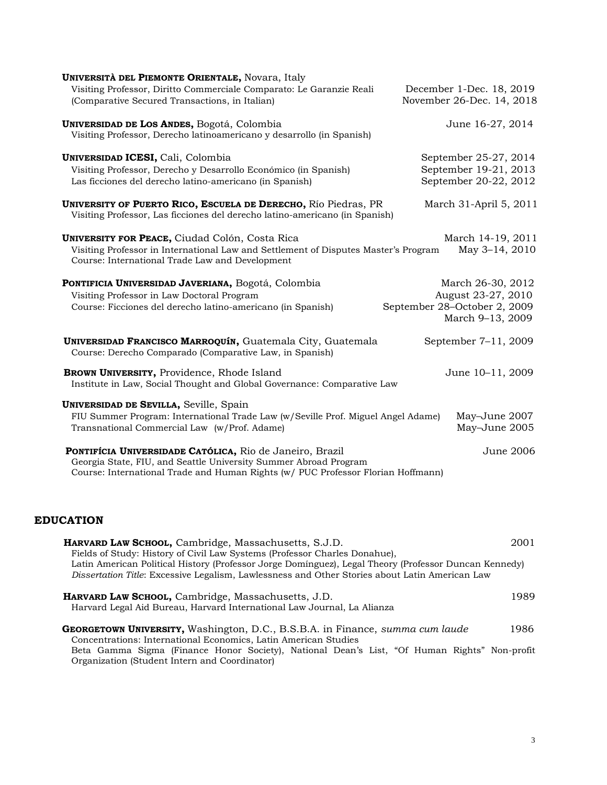| <b>UNIVERSITÀ DEL PIEMONTE ORIENTALE, Novara, Italy</b>                                                                                                                                                          |                                                                                             |
|------------------------------------------------------------------------------------------------------------------------------------------------------------------------------------------------------------------|---------------------------------------------------------------------------------------------|
| Visiting Professor, Diritto Commerciale Comparato: Le Garanzie Reali<br>(Comparative Secured Transactions, in Italian)                                                                                           | December 1-Dec. 18, 2019<br>November 26-Dec. 14, 2018                                       |
| UNIVERSIDAD DE LOS ANDES, Bogotá, Colombia<br>Visiting Professor, Derecho latinoamericano y desarrollo (in Spanish)                                                                                              | June 16-27, 2014                                                                            |
| UNIVERSIDAD ICESI, Cali, Colombia<br>Visiting Professor, Derecho y Desarrollo Económico (in Spanish)<br>Las ficciones del derecho latino-americano (in Spanish)                                                  | September 25-27, 2014<br>September 19-21, 2013<br>September 20-22, 2012                     |
| UNIVERSITY OF PUERTO RICO, ESCUELA DE DERECHO, Río Piedras, PR<br>Visiting Professor, Las ficciones del derecho latino-americano (in Spanish)                                                                    | March 31-April 5, 2011                                                                      |
| <b>UNIVERSITY FOR PEACE, Ciudad Colón, Costa Rica</b><br>Visiting Professor in International Law and Settlement of Disputes Master's Program<br>Course: International Trade Law and Development                  | March 14-19, 2011<br>May 3-14, 2010                                                         |
| PONTIFICIA UNIVERSIDAD JAVERIANA, Bogotá, Colombia<br>Visiting Professor in Law Doctoral Program<br>Course: Ficciones del derecho latino-americano (in Spanish)                                                  | March 26-30, 2012<br>August 23-27, 2010<br>September 28-October 2, 2009<br>March 9-13, 2009 |
| UNIVERSIDAD FRANCISCO MARROQUÍN, Guatemala City, Guatemala<br>Course: Derecho Comparado (Comparative Law, in Spanish)                                                                                            | September 7-11, 2009                                                                        |
| BROWN UNIVERSITY, Providence, Rhode Island<br>Institute in Law, Social Thought and Global Governance: Comparative Law                                                                                            | June 10-11, 2009                                                                            |
| <b>UNIVERSIDAD DE SEVILLA, Seville, Spain</b><br>FIU Summer Program: International Trade Law (w/Seville Prof. Miguel Angel Adame)<br>Transnational Commercial Law (w/Prof. Adame)                                | May-June 2007<br>May-June 2005                                                              |
| PONTIFÍCIA UNIVERSIDADE CATÓLICA, Rio de Janeiro, Brazil<br>Georgia State, FIU, and Seattle University Summer Abroad Program<br>Course: International Trade and Human Rights (w/ PUC Professor Florian Hoffmann) | June 2006                                                                                   |

# **EDUCATION**

| <b>HARVARD LAW SCHOOL, Cambridge, Massachusetts, S.J.D.</b>                                                                                             | 2001 |
|---------------------------------------------------------------------------------------------------------------------------------------------------------|------|
| Fields of Study: History of Civil Law Systems (Professor Charles Donahue),                                                                              |      |
| Latin American Political History (Professor Jorge Dominguez), Legal Theory (Professor Duncan Kennedy)                                                   |      |
| Dissertation Title: Excessive Legalism, Lawlessness and Other Stories about Latin American Law                                                          |      |
| <b>HARVARD LAW SCHOOL, Cambridge, Massachusetts, J.D.</b><br>Harvard Legal Aid Bureau, Harvard International Law Journal, La Alianza                    | 1989 |
| <b>GEORGETOWN UNIVERSITY,</b> Washington, D.C., B.S.B.A. in Finance, summa cum laude<br>Concentrations: International Economics, Latin American Studies | 1986 |

Beta Gamma Sigma (Finance Honor Society), National Dean's List, "Of Human Rights" Non-profit Organization (Student Intern and Coordinator)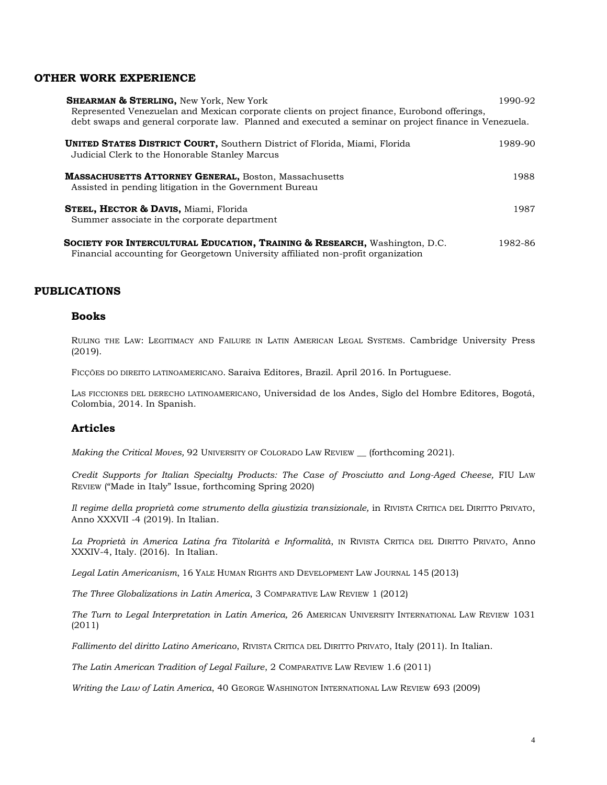### **OTHER WORK EXPERIENCE**

| <b>SHEARMAN &amp; STERLING, New York, New York</b><br>Represented Venezuelan and Mexican corporate clients on project finance, Eurobond offerings,<br>debt swaps and general corporate law. Planned and executed a seminar on project finance in Venezuela. | 1990-92 |
|-------------------------------------------------------------------------------------------------------------------------------------------------------------------------------------------------------------------------------------------------------------|---------|
| <b>UNITED STATES DISTRICT COURT, Southern District of Florida, Miami, Florida</b><br>Judicial Clerk to the Honorable Stanley Marcus                                                                                                                         | 1989-90 |
| <b>MASSACHUSETTS ATTORNEY GENERAL, Boston, Massachusetts</b><br>Assisted in pending litigation in the Government Bureau                                                                                                                                     | 1988    |
| <b>STEEL, HECTOR &amp; DAVIS, Miami, Florida</b><br>Summer associate in the corporate department                                                                                                                                                            | 1987    |

**SOCIETY FOR INTERCULTURAL EDUCATION, TRAINING & RESEARCH,** Washington, D.C.1982-86 Financial accounting for Georgetown University affiliated non-profit organization

### **PUBLICATIONS**

#### **Books**

RULING THE LAW: LEGITIMACY AND FAILURE IN LATIN AMERICAN LEGAL SYSTEMS. Cambridge University Press (2019).

FICÇÕES DO DIREITO LATINOAMERICANO. Saraiva Editores, Brazil. April 2016. In Portuguese.

LAS FICCIONES DEL DERECHO LATINOAMERICANO, Universidad de los Andes, Siglo del Hombre Editores, Bogotá, Colombia, 2014. In Spanish.

#### **Articles**

*Making the Critical Moves,* 92 UNIVERSITY OF COLORADO LAW REVIEW \_\_ (forthcoming 2021).

*Credit Supports for Italian Specialty Products: The Case of Prosciutto and Long-Aged Cheese,* FIU LAW REVIEW ("Made in Italy" Issue, forthcoming Spring 2020)

*Il regime della proprietà come strumento della giustizia transizionale,* in RIVISTA CRITICA DEL DIRITTO PRIVATO, Anno XXXVII -4 (2019). In Italian.

*La Proprietà in America Latina fra Titolarità e Informalità*, IN RIVISTA CRITICA DEL DIRITTO PRIVATO, Anno XXXIV-4, Italy. (2016). In Italian.

*Legal Latin Americanism*, 16 YALE HUMAN RIGHTS AND DEVELOPMENT LAW JOURNAL 145 (2013)

*The Three Globalizations in Latin America*, 3 COMPARATIVE LAW REVIEW 1 (2012)

*The Turn to Legal Interpretation in Latin America,* 26 AMERICAN UNIVERSITY INTERNATIONAL LAW REVIEW 1031 (2011)

*Fallimento del diritto Latino Americano*, RIVISTA CRITICA DEL DIRITTO PRIVATO, Italy (2011). In Italian.

*The Latin American Tradition of Legal Failure*, 2 COMPARATIVE LAW REVIEW 1.6 (2011)

*Writing the Law of Latin America*, 40 GEORGE WASHINGTON INTERNATIONAL LAW REVIEW 693 (2009)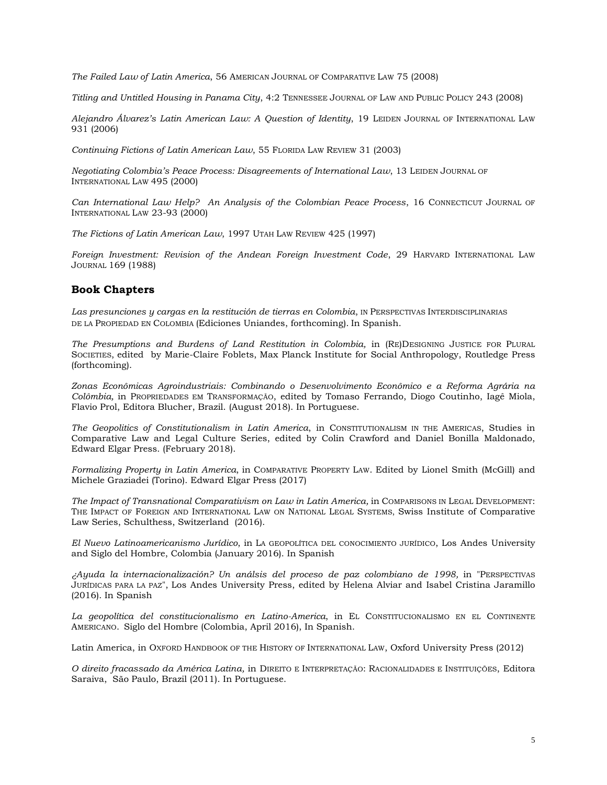*The Failed Law of Latin America*, 56 AMERICAN JOURNAL OF COMPARATIVE LAW 75 (2008)

*Titling and Untitled Housing in Panama City*, 4:2 TENNESSEE JOURNAL OF LAW AND PUBLIC POLICY 243 (2008)

*Alejandro Álvarez's Latin American Law: A Question of Identity*, 19 LEIDEN JOURNAL OF INTERNATIONAL LAW 931 (2006)

*Continuing Fictions of Latin American Law*, 55 FLORIDA LAW REVIEW 31 (2003)

*Negotiating Colombia's Peace Process: Disagreements of International Law*, 13 LEIDEN JOURNAL OF INTERNATIONAL LAW 495 (2000)

*Can International Law Help? An Analysis of the Colombian Peace Process*, 16 CONNECTICUT JOURNAL OF INTERNATIONAL LAW 23-93 (2000)

*The Fictions of Latin American Law*, 1997 UTAH LAW REVIEW 425 (1997)

*Foreign Investment: Revision of the Andean Foreign Investment Code*, 29 HARVARD INTERNATIONAL LAW JOURNAL 169 (1988)

# **Book Chapters**

*Las presunciones y cargas en la restitución de tierras en Colombia*, IN PERSPECTIVAS INTERDISCIPLINARIAS DE LA PROPIEDAD EN COLOMBIA (Ediciones Uniandes, forthcoming). In Spanish.

*The Presumptions and Burdens of Land Restitution in Colombia,* in (RE)DESIGNING JUSTICE FOR PLURAL SOCIETIES, edited by Marie-Claire Foblets, Max Planck Institute for Social Anthropology, Routledge Press (forthcoming).

*Zonas Econômicas Agroindustriais: Combinando o Desenvolvimento Econômico e a Reforma Agrária na Colômbia,* in PROPRIEDADES EM TRANSFORMAÇÃO, edited by Tomaso Ferrando, Diogo Coutinho, Iagê Miola, Flavio Prol, Editora Blucher, Brazil. (August 2018). In Portuguese.

*The Geopolitics of Constitutionalism in Latin America*, in CONSTITUTIONALISM IN THE AMERICAS, Studies in Comparative Law and Legal Culture Series, edited by Colin Crawford and Daniel Bonilla Maldonado, Edward Elgar Press. (February 2018).

*Formalizing Property in Latin America*, in COMPARATIVE PROPERTY LAW. Edited by Lionel Smith (McGill) and Michele Graziadei (Torino). Edward Elgar Press (2017)

*The Impact of Transnational Comparativism on Law in Latin America,* in COMPARISONS IN LEGAL DEVELOPMENT: THE IMPACT OF FOREIGN AND INTERNATIONAL LAW ON NATIONAL LEGAL SYSTEMS, Swiss Institute of Comparative Law Series, Schulthess, Switzerland (2016).

*El Nuevo Latinoamericanismo Jurídico*, in LA GEOPOLÍTICA DEL CONOCIMIENTO JURÍDICO, Los Andes University and Siglo del Hombre, Colombia (January 2016). In Spanish

*¿Ayuda la internacionalización? Un análsis del proceso de paz colombiano de 1998,* in "PERSPECTIVAS JURÍDICAS PARA LA PAZ", Los Andes University Press, edited by Helena Alviar and Isabel Cristina Jaramillo (2016). In Spanish

*La geopolítica del constitucionalismo en Latino-America*, in EL CONSTITUCIONALISMO EN EL CONTINENTE AMERICANO. Siglo del Hombre (Colombia, April 2016), In Spanish.

Latin America, in OXFORD HANDBOOK OF THE HISTORY OF INTERNATIONAL LAW, Oxford University Press (2012)

*O direito fracassado da América Latina,* in DIREITO E INTERPRETAÇÃO: RACIONALIDADES E INSTITUIÇÕES, Editora Saraiva, São Paulo, Brazil (2011). In Portuguese.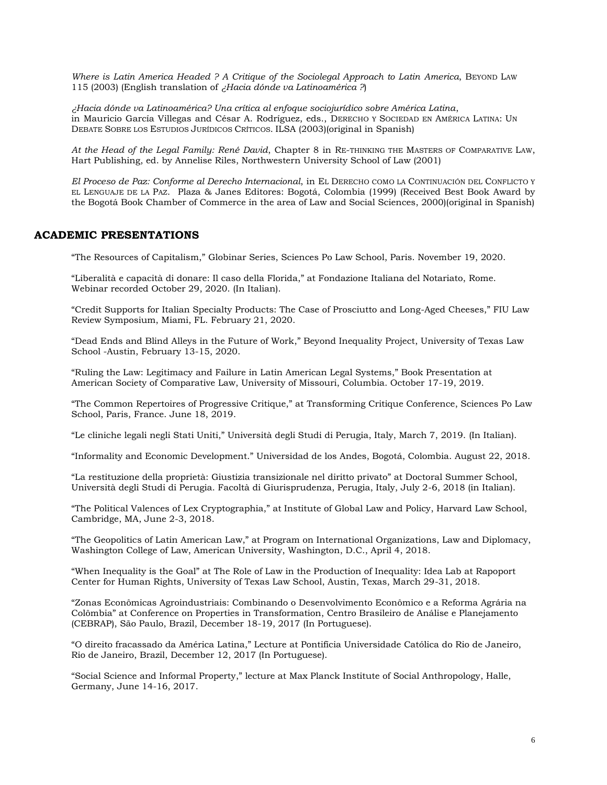*Where is Latin America Headed ? A Critique of the Sociolegal Approach to Latin America*, BEYOND LAW 115 (2003) (English translation of *¿Hacia dónde va Latinoamérica ?*)

*¿Hacia dónde va Latinoamérica? Una crítica al enfoque sociojurídico sobre América Latina*, in Mauricio García Villegas and César A. Rodríguez, eds., DERECHO Y SOCIEDAD EN AMÉRICA LATINA: UN DEBATE SOBRE LOS ESTUDIOS JURÍDICOS CRÍTICOS. ILSA (2003)(original in Spanish)

*At the Head of the Legal Family: René David*, Chapter 8 in RE-THINKING THE MASTERS OF COMPARATIVE LAW, Hart Publishing, ed. by Annelise Riles, Northwestern University School of Law (2001)

*El Proceso de Paz: Conforme al Derecho Internacional*, in EL DERECHO COMO LA CONTINUACIÓN DEL CONFLICTO Y EL LENGUAJE DE LA PAZ. Plaza & Janes Editores: Bogotá, Colombia (1999) (Received Best Book Award by the Bogotá Book Chamber of Commerce in the area of Law and Social Sciences, 2000)(original in Spanish)

### **ACADEMIC PRESENTATIONS**

"The Resources of Capitalism," Globinar Series, Sciences Po Law School, Paris. November 19, 2020.

"Liberalità e capacità di donare: Il caso della Florida," at Fondazione Italiana del Notariato, Rome. Webinar recorded October 29, 2020. (In Italian).

"Credit Supports for Italian Specialty Products: The Case of Prosciutto and Long-Aged Cheeses," FIU Law Review Symposium, Miami, FL. February 21, 2020.

"Dead Ends and Blind Alleys in the Future of Work," Beyond Inequality Project, University of Texas Law School -Austin, February 13-15, 2020.

"Ruling the Law: Legitimacy and Failure in Latin American Legal Systems," Book Presentation at American Society of Comparative Law, University of Missouri, Columbia. October 17-19, 2019.

"The Common Repertoires of Progressive Critique," at Transforming Critique Conference, Sciences Po Law School, Paris, France. June 18, 2019.

"Le cliniche legali negli Stati Uniti," Università degli Studi di Perugia, Italy, March 7, 2019. (In Italian).

"Informality and Economic Development." Universidad de los Andes, Bogotá, Colombia. August 22, 2018.

"La restituzione della proprietà: Giustizia transizionale nel diritto privato" at Doctoral Summer School, Università degli Studi di Perugia. Facoltà di Giurisprudenza, Perugia, Italy, July 2-6, 2018 (in Italian).

"The Political Valences of Lex Cryptographia," at Institute of Global Law and Policy, Harvard Law School, Cambridge, MA, June 2-3, 2018.

"The Geopolitics of Latin American Law," at Program on International Organizations, Law and Diplomacy, Washington College of Law, American University, Washington, D.C., April 4, 2018.

"When Inequality is the Goal" at The Role of Law in the Production of Inequality: Idea Lab at Rapoport Center for Human Rights, University of Texas Law School, Austin, Texas, March 29-31, 2018.

"Zonas Econômicas Agroindustriais: Combinando o Desenvolvimento Econômico e a Reforma Agrária na Colômbia" at Conference on Properties in Transformation, Centro Brasileiro de Análise e Planejamento (CEBRAP), São Paulo, Brazil, December 18-19, 2017 (In Portuguese).

"O direito fracassado da América Latina," Lecture at Pontifícia Universidade Católica do Rio de Janeiro, Rio de Janeiro, Brazil, December 12, 2017 (In Portuguese).

"Social Science and Informal Property," lecture at Max Planck Institute of Social Anthropology, Halle, Germany, June 14-16, 2017.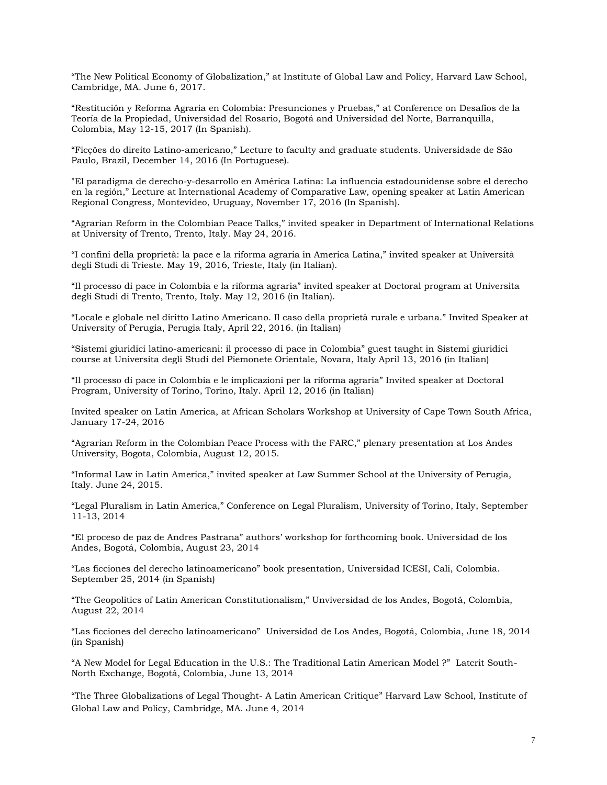"The New Political Economy of Globalization," at Institute of Global Law and Policy, Harvard Law School, Cambridge, MA. June 6, 2017.

"Restitución y Reforma Agraria en Colombia: Presunciones y Pruebas," at Conference on Desafíos de la Teoría de la Propiedad, Universidad del Rosario, Bogotá and Universidad del Norte, Barranquilla, Colombia, May 12-15, 2017 (In Spanish).

"Ficções do direito Latino-americano," Lecture to faculty and graduate students. Universidade de São Paulo, Brazil, December 14, 2016 (In Portuguese).

"El paradigma de derecho-y-desarrollo en América Latina: La influencia estadounidense sobre el derecho en la región," Lecture at International Academy of Comparative Law, opening speaker at Latin American Regional Congress, Montevideo, Uruguay, November 17, 2016 (In Spanish).

"Agrarian Reform in the Colombian Peace Talks," invited speaker in Department of International Relations at University of Trento, Trento, Italy. May 24, 2016.

"I confini della proprietà: la pace e la riforma agraria in America Latina," invited speaker at Università degli Studi di Trieste. May 19, 2016, Trieste, Italy (in Italian).

"Il processo di pace in Colombia e la riforma agraria" invited speaker at Doctoral program at Universita degli Studi di Trento, Trento, Italy. May 12, 2016 (in Italian).

"Locale e globale nel diritto Latino Americano. Il caso della proprietà rurale e urbana." Invited Speaker at University of Perugia, Perugia Italy, April 22, 2016. (in Italian)

"Sistemi giuridici latino-americani: il processo di pace in Colombia" guest taught in Sistemi giuridici course at Universita degli Studi del Piemonete Orientale, Novara, Italy April 13, 2016 (in Italian)

"Il processo di pace in Colombia e le implicazioni per la riforma agraria" Invited speaker at Doctoral Program, University of Torino, Torino, Italy. April 12, 2016 (in Italian)

Invited speaker on Latin America, at African Scholars Workshop at University of Cape Town South Africa, January 17-24, 2016

"Agrarian Reform in the Colombian Peace Process with the FARC," plenary presentation at Los Andes University, Bogota, Colombia, August 12, 2015.

"Informal Law in Latin America," invited speaker at Law Summer School at the University of Perugia, Italy. June 24, 2015.

"Legal Pluralism in Latin America," Conference on Legal Pluralism, University of Torino, Italy, September 11-13, 2014

"El proceso de paz de Andres Pastrana" authors' workshop for forthcoming book. Universidad de los Andes, Bogotá, Colombia, August 23, 2014

"Las ficciones del derecho latinoamericano" book presentation, Universidad ICESI, Cali, Colombia. September 25, 2014 (in Spanish)

"The Geopolitics of Latin American Constitutionalism," Unviversidad de los Andes, Bogotá, Colombia, August 22, 2014

"Las ficciones del derecho latinoamericano" Universidad de Los Andes, Bogotá, Colombia, June 18, 2014 (in Spanish)

"A New Model for Legal Education in the U.S.: The Traditional Latin American Model ?" Latcrit South-North Exchange, Bogotá, Colombia, June 13, 2014

"The Three Globalizations of Legal Thought- A Latin American Critique" Harvard Law School, Institute of Global Law and Policy, Cambridge, MA. June 4, 2014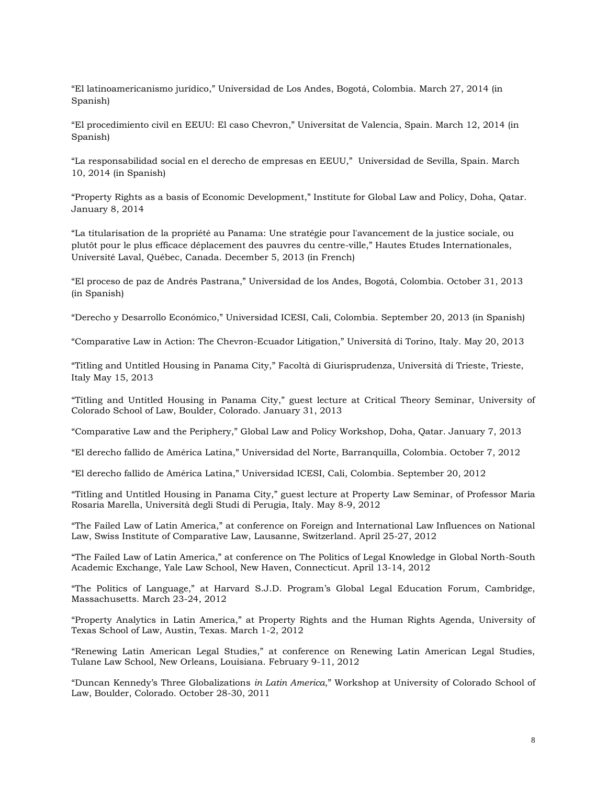"El latinoamericanismo jurídico," Universidad de Los Andes, Bogotá, Colombia. March 27, 2014 (in Spanish)

"El procedimiento civil en EEUU: El caso Chevron," Universitat de Valencia, Spain. March 12, 2014 (in Spanish)

"La responsabilidad social en el derecho de empresas en EEUU," Universidad de Sevilla, Spain. March 10, 2014 (in Spanish)

"Property Rights as a basis of Economic Development," Institute for Global Law and Policy, Doha, Qatar. January 8, 2014

"La titularisation de la propriété au Panama: Une stratégie pour l'avancement de la justice sociale, ou plutôt pour le plus efficace déplacement des pauvres du centre-ville," Hautes Etudes Internationales, Université Laval, Québec, Canada. December 5, 2013 (in French)

"El proceso de paz de Andrés Pastrana," Universidad de los Andes, Bogotá, Colombia. October 31, 2013 (in Spanish)

"Derecho y Desarrollo Económico," Universidad ICESI, Cali, Colombia. September 20, 2013 (in Spanish)

"Comparative Law in Action: The Chevron-Ecuador Litigation," Università di Torino, Italy. May 20, 2013

"Titling and Untitled Housing in Panama City," Facoltà di Giurisprudenza, Università di Trieste, Trieste, Italy May 15, 2013

"Titling and Untitled Housing in Panama City," guest lecture at Critical Theory Seminar, University of Colorado School of Law, Boulder, Colorado. January 31, 2013

"Comparative Law and the Periphery," Global Law and Policy Workshop, Doha, Qatar. January 7, 2013

"El derecho fallido de América Latina," Universidad del Norte, Barranquilla, Colombia. October 7, 2012

"El derecho fallido de América Latina," Universidad ICESI, Cali, Colombia. September 20, 2012

"Titling and Untitled Housing in Panama City," guest lecture at Property Law Seminar, of Professor Maria Rosaria Marella, Università degli Studi di Perugia, Italy. May 8-9, 2012

"The Failed Law of Latin America," at conference on Foreign and International Law Influences on National Law, Swiss Institute of Comparative Law, Lausanne, Switzerland. April 25-27, 2012

"The Failed Law of Latin America," at conference on The Politics of Legal Knowledge in Global North-South Academic Exchange, Yale Law School, New Haven, Connecticut. April 13-14, 2012

"The Politics of Language," at Harvard S.J.D. Program's Global Legal Education Forum, Cambridge, Massachusetts. March 23-24, 2012

"Property Analytics in Latin America," at Property Rights and the Human Rights Agenda, University of Texas School of Law, Austin, Texas. March 1-2, 2012

"Renewing Latin American Legal Studies," at conference on Renewing Latin American Legal Studies, Tulane Law School, New Orleans, Louisiana. February 9-11, 2012

"Duncan Kennedy's Three Globalizations *in Latin America*," Workshop at University of Colorado School of Law, Boulder, Colorado. October 28-30, 2011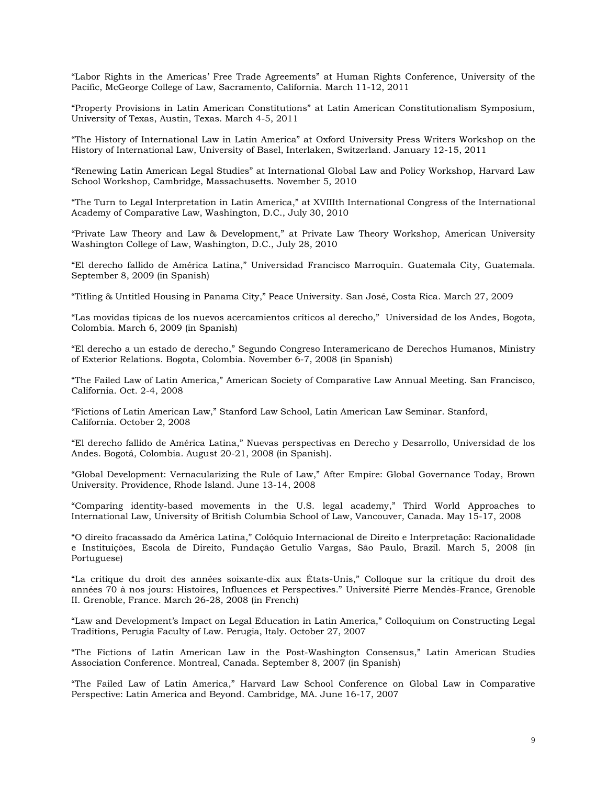"Labor Rights in the Americas' Free Trade Agreements" at Human Rights Conference, University of the Pacific, McGeorge College of Law, Sacramento, California. March 11-12, 2011

"Property Provisions in Latin American Constitutions" at Latin American Constitutionalism Symposium, University of Texas, Austin, Texas. March 4-5, 2011

"The History of International Law in Latin America" at Oxford University Press Writers Workshop on the History of International Law, University of Basel, Interlaken, Switzerland. January 12-15, 2011

"Renewing Latin American Legal Studies" at International Global Law and Policy Workshop, Harvard Law School Workshop, Cambridge, Massachusetts. November 5, 2010

"The Turn to Legal Interpretation in Latin America," at XVIIIth International Congress of the International Academy of Comparative Law, Washington, D.C., July 30, 2010

"Private Law Theory and Law & Development," at Private Law Theory Workshop, American University Washington College of Law, Washington, D.C., July 28, 2010

"El derecho fallido de América Latina," Universidad Francisco Marroquín. Guatemala City, Guatemala. September 8, 2009 (in Spanish)

"Titling & Untitled Housing in Panama City," Peace University. San José, Costa Rica. March 27, 2009

"Las movidas típicas de los nuevos acercamientos críticos al derecho," Universidad de los Andes, Bogota, Colombia. March 6, 2009 (in Spanish)

"El derecho a un estado de derecho," Segundo Congreso Interamericano de Derechos Humanos, Ministry of Exterior Relations. Bogota, Colombia. November 6-7, 2008 (in Spanish)

"The Failed Law of Latin America," American Society of Comparative Law Annual Meeting. San Francisco, California. Oct. 2-4, 2008

"Fictions of Latin American Law," Stanford Law School, Latin American Law Seminar. Stanford, California. October 2, 2008

"El derecho fallido de América Latina," Nuevas perspectivas en Derecho y Desarrollo, Universidad de los Andes. Bogotá, Colombia. August 20-21, 2008 (in Spanish).

"Global Development: Vernacularizing the Rule of Law," After Empire: Global Governance Today, Brown University. Providence, Rhode Island. June 13-14, 2008

"Comparing identity-based movements in the U.S. legal academy," Third World Approaches to International Law, University of British Columbia School of Law, Vancouver, Canada. May 15-17, 2008

"O direito fracassado da América Latina," Colóquio Internacional de Direito e Interpretação: Racionalidade e Instituições, Escola de Direito, Fundação Getulio Vargas, São Paulo, Brazil. March 5, 2008 (in Portuguese)

"La critique du droit des années soixante-dix aux États-Unis," Colloque sur la critique du droit des années 70 à nos jours: Histoires, Influences et Perspectives." Université Pierre Mendès-France, Grenoble II. Grenoble, France. March 26-28, 2008 (in French)

"Law and Development's Impact on Legal Education in Latin America," Colloquium on Constructing Legal Traditions, Perugia Faculty of Law. Perugia, Italy. October 27, 2007

"The Fictions of Latin American Law in the Post-Washington Consensus," Latin American Studies Association Conference. Montreal, Canada. September 8, 2007 (in Spanish)

"The Failed Law of Latin America," Harvard Law School Conference on Global Law in Comparative Perspective: Latin America and Beyond. Cambridge, MA. June 16-17, 2007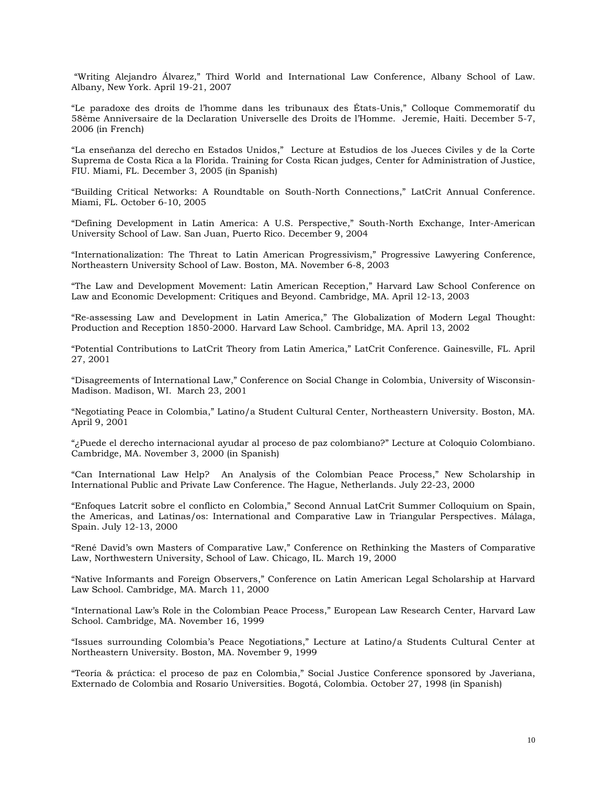"Writing Alejandro Álvarez," Third World and International Law Conference, Albany School of Law. Albany, New York. April 19-21, 2007

"Le paradoxe des droits de l'homme dans les tribunaux des États-Unis," Colloque Commemoratif du 58ème Anniversaire de la Declaration Universelle des Droits de l'Homme. Jeremie, Haiti. December 5-7, 2006 (in French)

"La enseñanza del derecho en Estados Unidos," Lecture at Estudios de los Jueces Civiles y de la Corte Suprema de Costa Rica a la Florida. Training for Costa Rican judges, Center for Administration of Justice, FIU. Miami, FL. December 3, 2005 (in Spanish)

"Building Critical Networks: A Roundtable on South-North Connections," LatCrit Annual Conference. Miami, FL. October 6-10, 2005

"Defining Development in Latin America: A U.S. Perspective," South-North Exchange, Inter-American University School of Law. San Juan, Puerto Rico. December 9, 2004

"Internationalization: The Threat to Latin American Progressivism," Progressive Lawyering Conference, Northeastern University School of Law. Boston, MA. November 6-8, 2003

"The Law and Development Movement: Latin American Reception," Harvard Law School Conference on Law and Economic Development: Critiques and Beyond. Cambridge, MA. April 12-13, 2003

"Re-assessing Law and Development in Latin America," The Globalization of Modern Legal Thought: Production and Reception 1850-2000. Harvard Law School. Cambridge, MA. April 13, 2002

"Potential Contributions to LatCrit Theory from Latin America," LatCrit Conference. Gainesville, FL. April 27, 2001

"Disagreements of International Law," Conference on Social Change in Colombia, University of Wisconsin-Madison. Madison, WI. March 23, 2001

"Negotiating Peace in Colombia," Latino/a Student Cultural Center, Northeastern University. Boston, MA. April 9, 2001

"¿Puede el derecho internacional ayudar al proceso de paz colombiano?" Lecture at Coloquio Colombiano. Cambridge, MA. November 3, 2000 (in Spanish)

"Can International Law Help? An Analysis of the Colombian Peace Process," New Scholarship in International Public and Private Law Conference. The Hague, Netherlands. July 22-23, 2000

"Enfoques Latcrit sobre el conflicto en Colombia," Second Annual LatCrit Summer Colloquium on Spain, the Americas, and Latinas/os: International and Comparative Law in Triangular Perspectives. Málaga, Spain. July 12-13, 2000

"René David's own Masters of Comparative Law," Conference on Rethinking the Masters of Comparative Law, Northwestern University, School of Law. Chicago, IL. March 19, 2000

"Native Informants and Foreign Observers," Conference on Latin American Legal Scholarship at Harvard Law School. Cambridge, MA. March 11, 2000

"International Law's Role in the Colombian Peace Process," European Law Research Center, Harvard Law School. Cambridge, MA. November 16, 1999

"Issues surrounding Colombia's Peace Negotiations," Lecture at Latino/a Students Cultural Center at Northeastern University. Boston, MA. November 9, 1999

"Teoría & práctica: el proceso de paz en Colombia," Social Justice Conference sponsored by Javeriana, Externado de Colombia and Rosario Universities. Bogotá, Colombia. October 27, 1998 (in Spanish)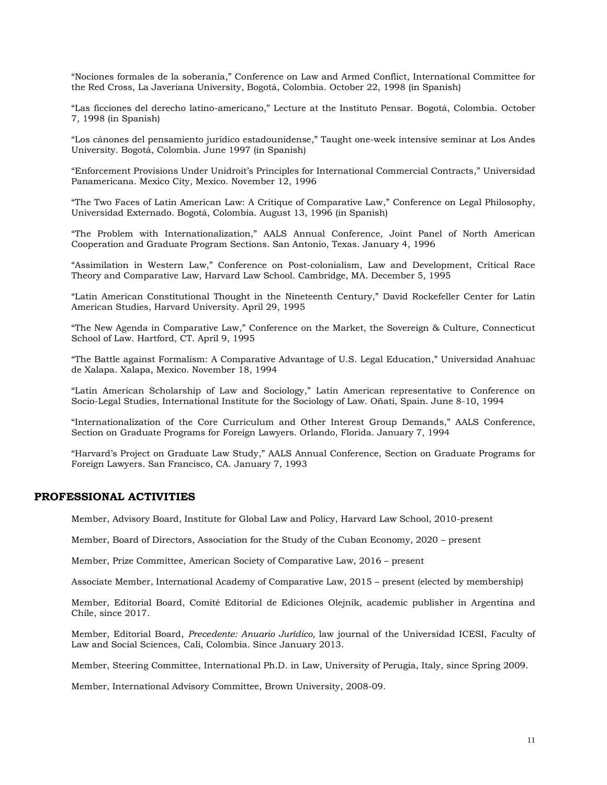"Nociones formales de la soberanía," Conference on Law and Armed Conflict, International Committee for the Red Cross, La Javeriana University, Bogotá, Colombia. October 22, 1998 (in Spanish)

"Las ficciones del derecho latino-americano," Lecture at the Instituto Pensar. Bogotá, Colombia. October 7, 1998 (in Spanish)

"Los cánones del pensamiento jurídico estadounidense," Taught one-week intensive seminar at Los Andes University. Bogotá, Colombia. June 1997 (in Spanish)

"Enforcement Provisions Under Unidroit's Principles for International Commercial Contracts," Universidad Panamericana. Mexico City, Mexico. November 12, 1996

"The Two Faces of Latin American Law: A Critique of Comparative Law," Conference on Legal Philosophy, Universidad Externado. Bogotá, Colombia. August 13, 1996 (in Spanish)

"The Problem with Internationalization," AALS Annual Conference, Joint Panel of North American Cooperation and Graduate Program Sections. San Antonio, Texas. January 4, 1996

"Assimilation in Western Law," Conference on Post-colonialism, Law and Development, Critical Race Theory and Comparative Law, Harvard Law School. Cambridge, MA. December 5, 1995

"Latin American Constitutional Thought in the Nineteenth Century," David Rockefeller Center for Latin American Studies, Harvard University. April 29, 1995

"The New Agenda in Comparative Law," Conference on the Market, the Sovereign & Culture, Connecticut School of Law. Hartford, CT. April 9, 1995

"The Battle against Formalism: A Comparative Advantage of U.S. Legal Education," Universidad Anahuac de Xalapa. Xalapa, Mexico. November 18, 1994

"Latin American Scholarship of Law and Sociology," Latin American representative to Conference on Socio-Legal Studies, International Institute for the Sociology of Law. Oñati, Spain. June 8-10, 1994

"Internationalization of the Core Curriculum and Other Interest Group Demands," AALS Conference, Section on Graduate Programs for Foreign Lawyers. Orlando, Florida. January 7, 1994

"Harvard's Project on Graduate Law Study," AALS Annual Conference, Section on Graduate Programs for Foreign Lawyers. San Francisco, CA. January 7, 1993

### **PROFESSIONAL ACTIVITIES**

Member, Advisory Board, Institute for Global Law and Policy, Harvard Law School, 2010-present

Member, Board of Directors, Association for the Study of the Cuban Economy, 2020 – present

Member, Prize Committee, American Society of Comparative Law, 2016 – present

Associate Member, International Academy of Comparative Law, 2015 – present (elected by membership)

Member, Editorial Board, Comité Editorial de Ediciones Olejnik, academic publisher in Argentina and Chile, since 2017.

Member, Editorial Board, *Precedente: Anuario Jurídico,* law journal of the Universidad ICESI, Faculty of Law and Social Sciences, Cali, Colombia. Since January 2013.

Member, Steering Committee, International Ph.D. in Law, University of Perugia, Italy, since Spring 2009.

Member, International Advisory Committee, Brown University, 2008-09.